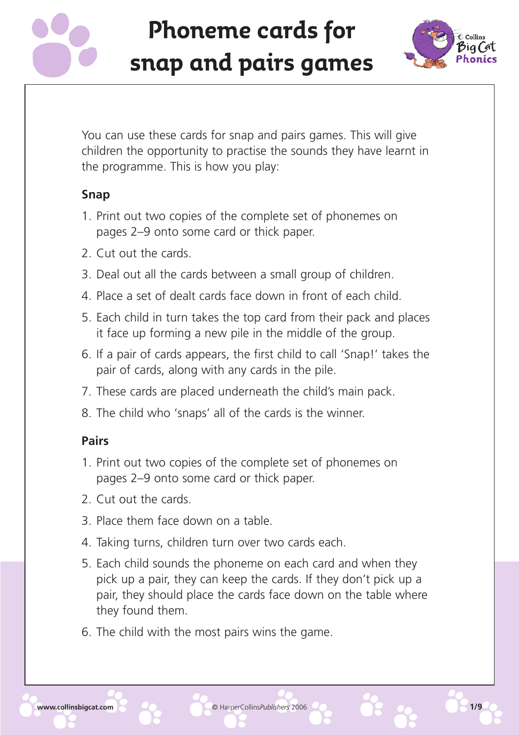



You can use these cards for snap and pairs games. This will give children the opportunity to practise the sounds they have learnt in the programme. This is how you play:

#### **Snap**

- 1. Print out two copies of the complete set of phonemes on pages 2–9 onto some card or thick paper.
- 2. Cut out the cards.
- 3. Deal out all the cards between a small group of children.
- 4. Place a set of dealt cards face down in front of each child.
- 5. Each child in turn takes the top card from their pack and places it face up forming a new pile in the middle of the group.
- 6. If a pair of cards appears, the first child to call 'Snap!' takes the pair of cards, along with any cards in the pile.
- 7. These cards are placed underneath the child's main pack.
- 8. The child who 'snaps' all of the cards is the winner.

#### **Pairs**

- 1. Print out two copies of the complete set of phonemes on pages 2–9 onto some card or thick paper.
- 2. Cut out the cards.
- 3. Place them face down on a table.
- 4. Taking turns, children turn over two cards each.
- 5. Each child sounds the phoneme on each card and when they pick up a pair, they can keep the cards. If they don't pick up a pair, they should place the cards face down on the table where they found them.
- 6. The child with the most pairs wins the game.

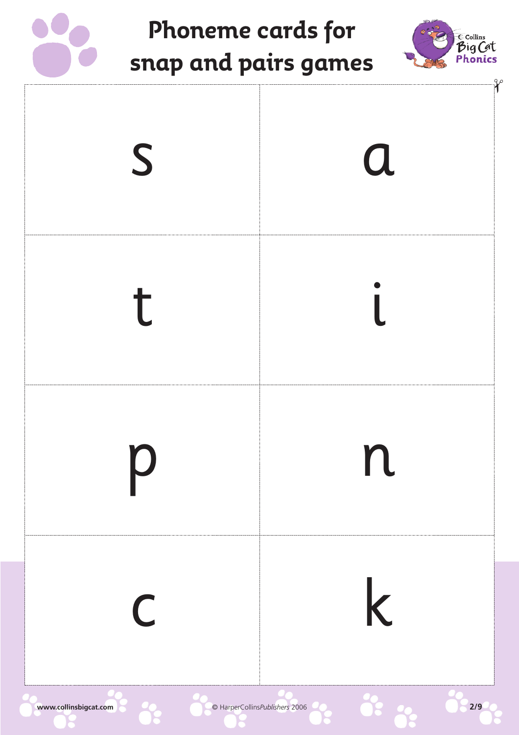



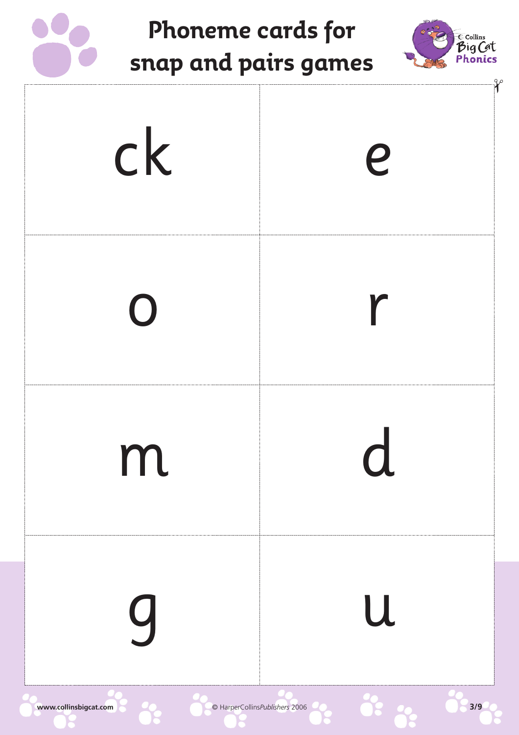



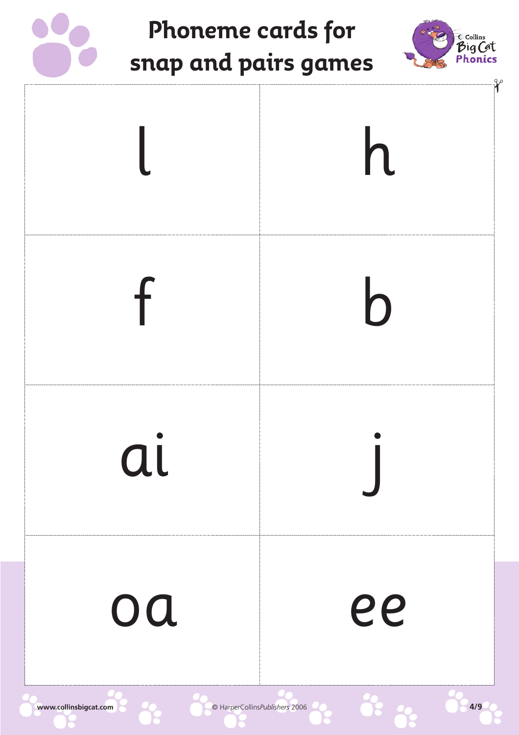



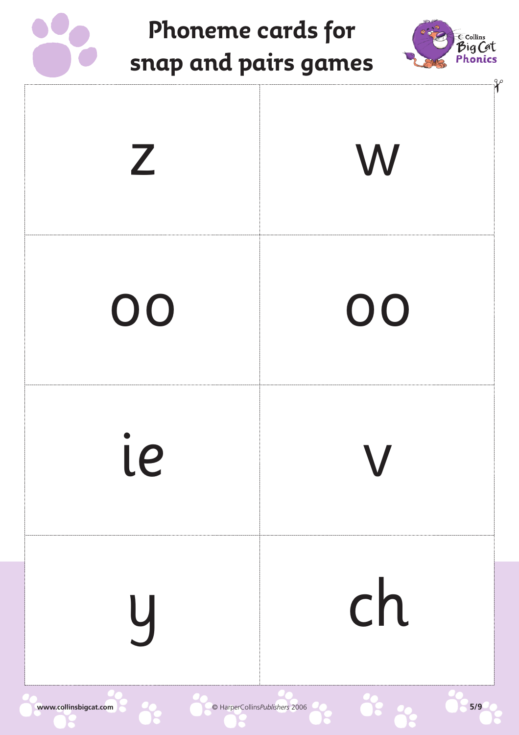



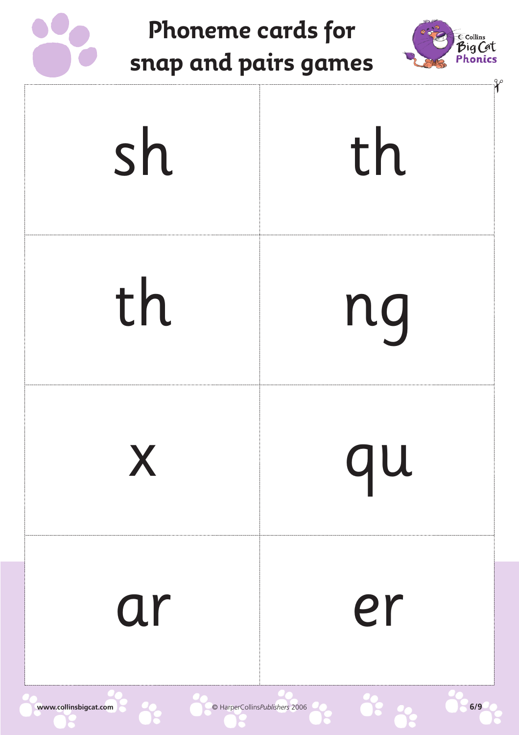



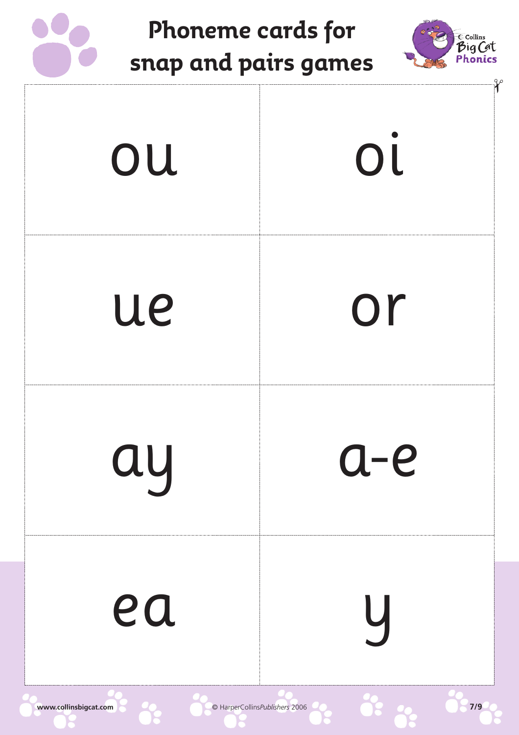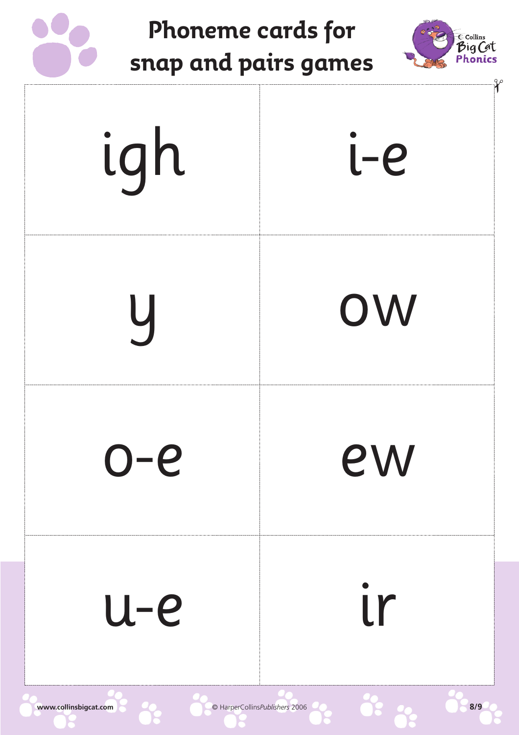